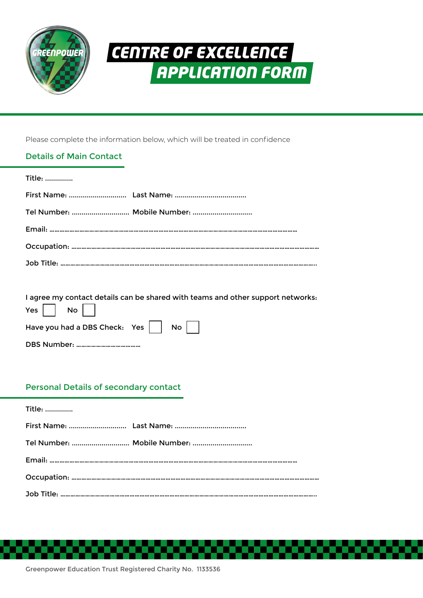

# *CENTRE OF EXCELLENCE APPLICATION FORM*

Please complete the information below, which will be treated in confidence

# Details of Main Contact

| Title: |                             |
|--------|-----------------------------|
|        |                             |
|        | Tel Number:  Mobile Number: |
|        |                             |
|        |                             |
|        |                             |

I agree my contact details can be shared with teams and other support networks:  $Y_{\text{esc}}$   $\Box$  No  $\Box$ 

| $T$ $\approx$ $\mid$ $\mid$ $\sim$ $\sim$ $\mid$ $\mid$ |  |
|---------------------------------------------------------|--|
| Have you had a DBS Check: Yes $\Box$ No $\Box$          |  |
|                                                         |  |

## Personal Details of secondary contact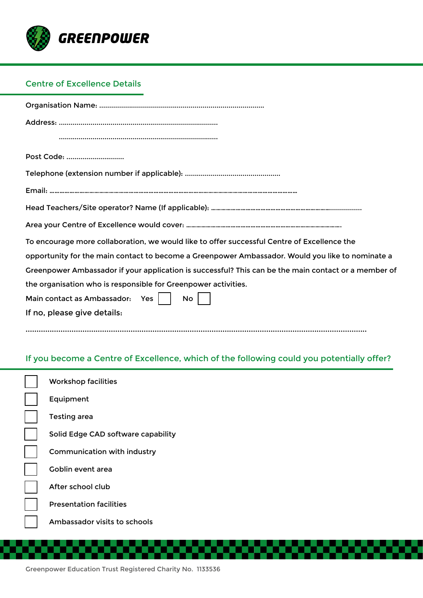

# Centre of Excellence Details

| Post Code:                                                                                           |
|------------------------------------------------------------------------------------------------------|
|                                                                                                      |
|                                                                                                      |
|                                                                                                      |
|                                                                                                      |
| To encourage more collaboration, we would like to offer successful Centre of Excellence the          |
| opportunity for the main contact to become a Greenpower Ambassador. Would you like to nominate a     |
| Greenpower Ambassador if your application is successful? This can be the main contact or a member of |
| the organisation who is responsible for Greenpower activities.                                       |
| Main contact as Ambassador: Yes    <br>No.                                                           |
| If no, please give details:                                                                          |
|                                                                                                      |

# If you become a Centre of Excellence, which of the following could you potentially offer?

| <b>Workshop facilities</b>         |
|------------------------------------|
| Equipment                          |
| <b>Testing area</b>                |
| Solid Edge CAD software capability |
| Communication with industry        |
| Goblin event area                  |
| After school club                  |
| <b>Presentation facilities</b>     |
| Ambassador visits to schools       |
|                                    |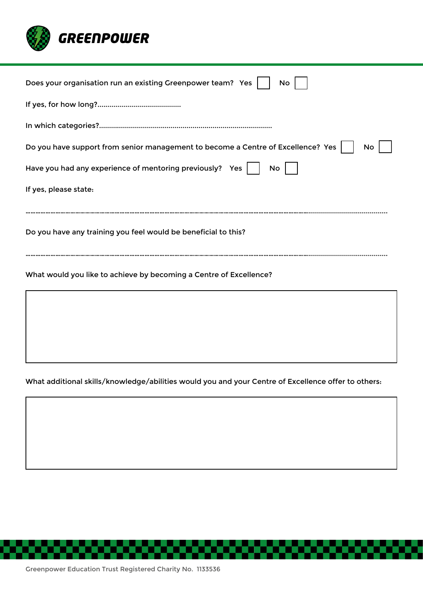

## What additional skills/knowledge/abilities would you and your Centre of Excellence offer to others:

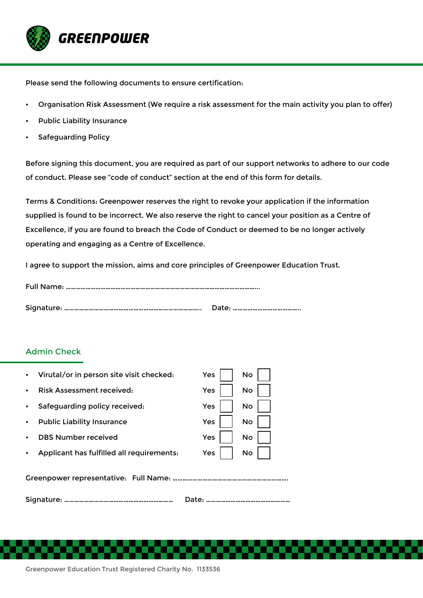

Please send the following documents to ensure certification:

- Organisation Risk Assessment (We require a risk assessment for the main activity you plan to offer)
- Public Liability Insurance
- Safeguarding Policy

Before signing this document, you are required as part of our support networks to adhere to our code of conduct. Please see "code of conduct" section at the end of this form for details.

Terms & Conditions: Greenpower reserves the right to revoke your application if the information supplied is found to be incorrect. We also reserve the right to cancel your position as a Centre of Excellence, if you are found to breach the Code of Conduct or deemed to be no longer actively operating and engaging as a Centre of Excellence.

I agree to support the mission, aims and core principles of Greenpower Education Trust.

### Admin Check

|           | Virutal/or in person site visit checked:  | Yes | No        |
|-----------|-------------------------------------------|-----|-----------|
|           | Risk Assessment received:                 | Yes | <b>No</b> |
|           | Safeguarding policy received:             | Yes | <b>No</b> |
|           | <b>Public Liability Insurance</b>         | Yes | No        |
|           | <b>DBS Number received</b>                | Yes | No        |
|           | Applicant has fulfilled all requirements: | Yes | No        |
|           |                                           |     |           |
| Date:<br> |                                           |     |           |

Greenpower Education Trust Registered Charity No. 1133536